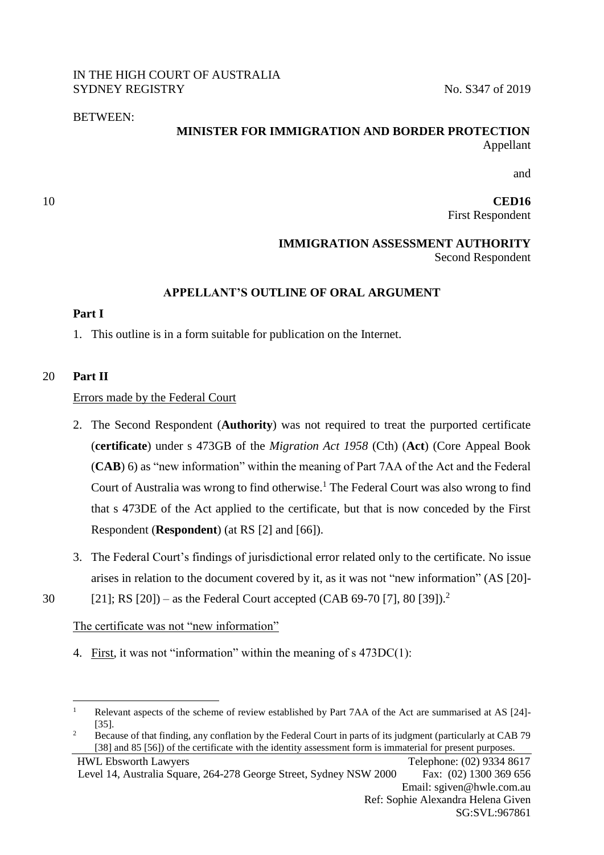## IN THE HIGH COURT OF AUSTRALIA SYDNEY REGISTRY No. S347 of 2019

## BETWEEN:

# **MINISTER FOR IMMIGRATION AND BORDER PROTECTION** Appellant

and

10 **CED16** First Respondent

## **IMMIGRATION ASSESSMENT AUTHORITY**  Second Respondent

# **APPELLANT'S OUTLINE OF ORAL ARGUMENT**

## **Part I**

1. This outline is in a form suitable for publication on the Internet.

# 20 **Part II**

1

## Errors made by the Federal Court

- 2. The Second Respondent (**Authority**) was not required to treat the purported certificate (**certificate**) under s 473GB of the *Migration Act 1958* (Cth) (**Act**) (Core Appeal Book (**CAB**) 6) as "new information" within the meaning of Part 7AA of the Act and the Federal Court of Australia was wrong to find otherwise. <sup>1</sup> The Federal Court was also wrong to find that s 473DE of the Act applied to the certificate, but that is now conceded by the First Respondent (**Respondent**) (at RS [2] and [66]).
- 3. The Federal Court's findings of jurisdictional error related only to the certificate. No issue arises in relation to the document covered by it, as it was not "new information" (AS [20]-
- [21]; RS [20]) as the Federal Court accepted (CAB 69-70 [7], 80 [39]).<sup>2</sup> 30

# The certificate was not "new information"

4. First, it was not "information" within the meaning of s 473DC(1):

<sup>2</sup> Because of that finding, any conflation by the Federal Court in parts of its judgment (particularly at CAB 79 [38] and 85 [56]) of the certificate with the identity assessment form is immaterial for present purposes.

HWL Ebsworth Lawyers Telephone: (02) 9334 8617 Level 14, Australia Square, 264-278 George Street, Sydney NSW 2000 Fax: (02) 1300 369 656 Email: sgiven@hwle.com.au Ref: Sophie Alexandra Helena Given SG:SVL:967861

<sup>&</sup>lt;sup>1</sup> Relevant aspects of the scheme of review established by Part 7AA of the Act are summarised at AS [24]-[35].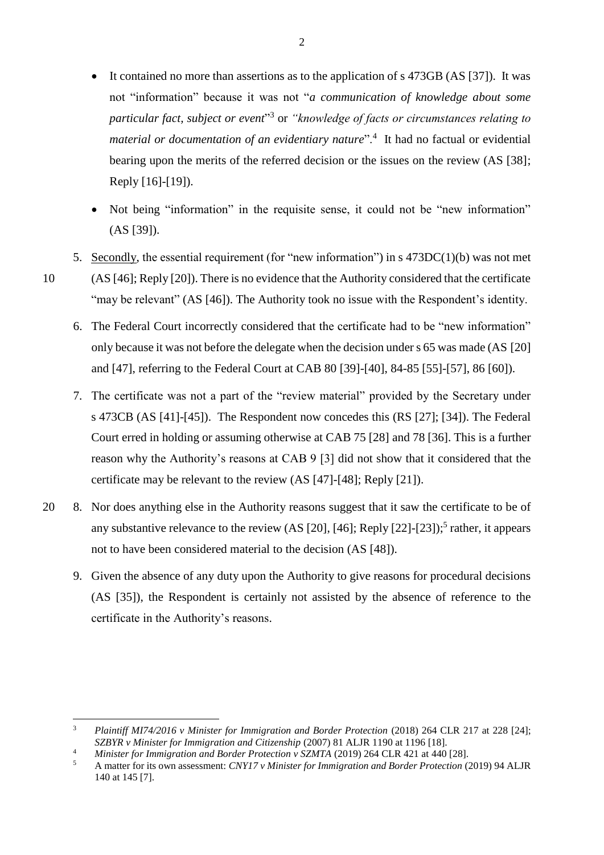- It contained no more than assertions as to the application of s 473GB (AS [37]). It was not "information" because it was not "*a communication of knowledge about some particular fact, subject or event*" 3 or *"knowledge of facts or circumstances relating to material or documentation of an evidentiary nature*".<sup>4</sup> It had no factual or evidential bearing upon the merits of the referred decision or the issues on the review (AS [38]; Reply [16]-[19]).
- Not being "information" in the requisite sense, it could not be "new information" (AS [39]).
- 5. Secondly, the essential requirement (for "new information") in s 473DC(1)(b) was not met 10 (AS [46]; Reply [20]). There is no evidence that the Authority considered that the certificate "may be relevant" (AS [46]). The Authority took no issue with the Respondent's identity.
	- 6. The Federal Court incorrectly considered that the certificate had to be "new information" only because it was not before the delegate when the decision under s 65 was made (AS [20] and [47], referring to the Federal Court at CAB 80 [39]-[40], 84-85 [55]-[57], 86 [60]).
	- 7. The certificate was not a part of the "review material" provided by the Secretary under s 473CB (AS [41]-[45]). The Respondent now concedes this (RS [27]; [34]). The Federal Court erred in holding or assuming otherwise at CAB 75 [28] and 78 [36]. This is a further reason why the Authority's reasons at CAB 9 [3] did not show that it considered that the certificate may be relevant to the review (AS [47]-[48]; Reply [21]).
- 20 8. Nor does anything else in the Authority reasons suggest that it saw the certificate to be of any substantive relevance to the review (AS [20], [46]; Reply [22]-[23]);<sup>5</sup> rather, it appears not to have been considered material to the decision (AS [48]).
	- 9. Given the absence of any duty upon the Authority to give reasons for procedural decisions (AS [35]), the Respondent is certainly not assisted by the absence of reference to the certificate in the Authority's reasons.

 $\overline{\mathbf{3}}$ <sup>3</sup> *Plaintiff MI74/2016 v Minister for Immigration and Border Protection* (2018) 264 CLR 217 at 228 [24]; *SZBYR v Minister for Immigration and Citizenship* (2007) 81 ALJR 1190 at 1196 [18].

<sup>&</sup>lt;sup>4</sup> *Minister for Immigration and Border Protection v SZMTA* (2019) 264 CLR 421 at 440 [28].

<sup>5</sup> A matter for its own assessment: *CNY17 v Minister for Immigration and Border Protection* (2019) 94 ALJR 140 at 145 [7].